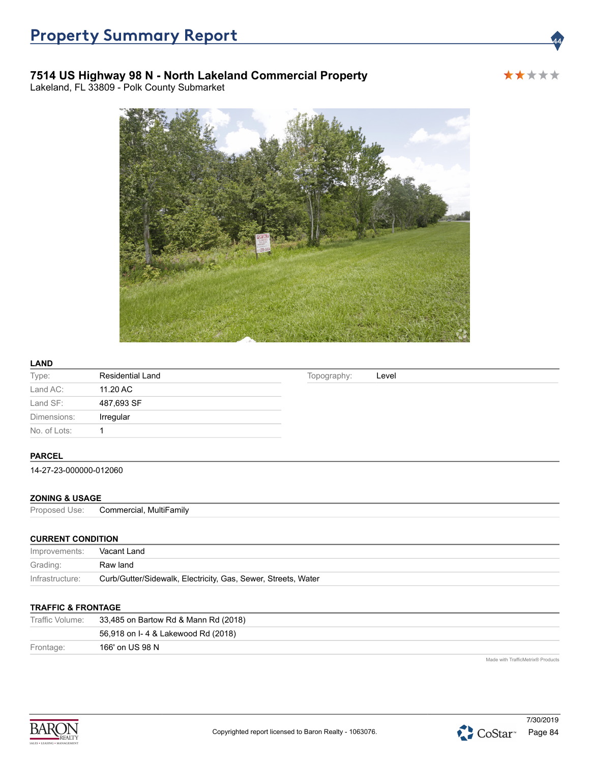# 7514 US Highway 98 N - North Lakeland Commercial Property

Lakeland, FL 33809 - Polk County Submarket



Topography: Level

### LAND

| Type:        | <b>Residential Land</b> |
|--------------|-------------------------|
| Land AC:     | 11.20 AC                |
| Land SF:     | 487,693 SF              |
| Dimensions:  | Irregular               |
| No. of Lots: |                         |

### PARCEL

14-27-23-000000-012060

### ZONING & USAGE

Proposed Use: Commercial, MultiFamily

### CURRENT CONDITION

| Improvements:   | Vacant Land                                                   |
|-----------------|---------------------------------------------------------------|
| Grading:        | Raw land                                                      |
| Infrastructure: | Curb/Gutter/Sidewalk, Electricity, Gas, Sewer, Streets, Water |

#### TRAFFIC & FRONTAGE

| Traffic Volume: | 33,485 on Bartow Rd & Mann Rd (2018) |
|-----------------|--------------------------------------|
|                 | 56,918 on I- 4 & Lakewood Rd (2018)  |
| Frontage:       | 166' on US 98 N                      |

Made with TrafficMetrix® Products

\*\*\*\*\*